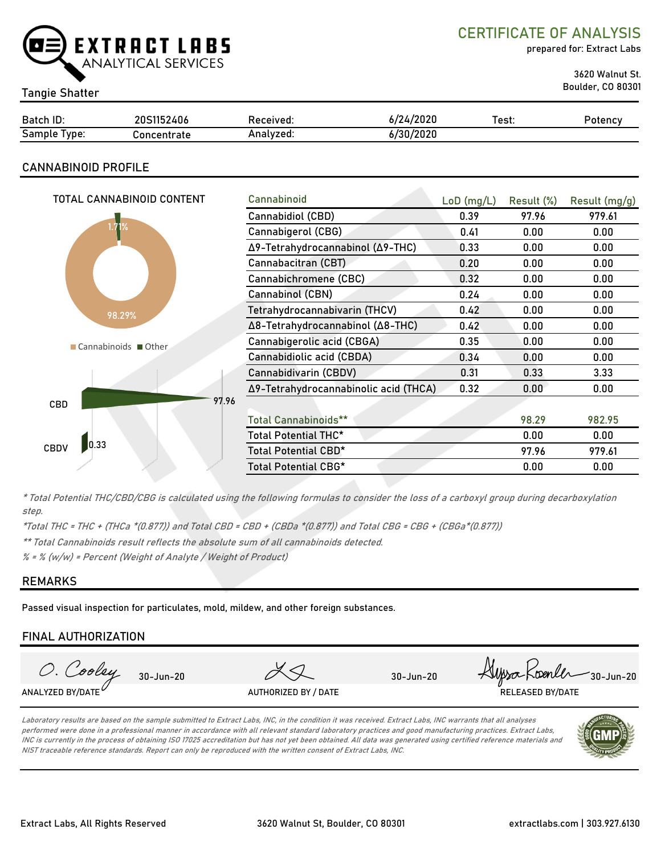

CERTIFICATE OF ANALYSIS

prepared for: Extract Labs

3620 Walnut St.

# Boulder, CO 80301 Tangie Shatter

| Batch ID:       | 20S1152406  | Received: | 6/24/2020 | Test. | Potencv |
|-----------------|-------------|-----------|-----------|-------|---------|
| Sample<br>Type: | Concentrate | Analyzed: | 6/30/2020 |       |         |

# CANNABINOID PROFILE

| TOTAL CANNABINOID CONTENT | Cannabinoid                           | $LoD$ (mg/L) | Result (%) | Result (mg/g) |
|---------------------------|---------------------------------------|--------------|------------|---------------|
|                           | Cannabidiol (CBD)                     | 0.39         | 97.96      | 979.61        |
| .71%                      | Cannabigerol (CBG)                    | 0.41         | 0.00       | 0.00          |
|                           | Δ9-Tetrahydrocannabinol (Δ9-THC)      | 0.33         | 0.00       | 0.00          |
|                           | Cannabacitran (CBT)                   | 0.20         | 0.00       | 0.00          |
|                           | Cannabichromene (CBC)                 | 0.32         | 0.00       | 0.00          |
|                           | Cannabinol (CBN)                      | 0.24         | 0.00       | 0.00          |
| 98.29%                    | Tetrahydrocannabivarin (THCV)         | 0.42         | 0.00       | 0.00          |
|                           | Δ8-Tetrahydrocannabinol (Δ8-THC)      | 0.42         | 0.00       | 0.00          |
| Cannabinoids Other        | Cannabigerolic acid (CBGA)            | 0.35         | 0.00       | 0.00          |
|                           | Cannabidiolic acid (CBDA)             | 0.34         | 0.00       | 0.00          |
|                           | Cannabidivarin (CBDV)                 | 0.31         | 0.33       | 3.33          |
|                           | Δ9-Tetrahydrocannabinolic acid (THCA) | 0.32         | 0.00       | 0.00          |
| 97.96<br><b>CBD</b>       |                                       |              |            |               |
|                           | <b>Total Cannabinoids**</b>           |              | 98.29      | 982.95        |
|                           | Total Potential THC*                  |              | 0.00       | 0.00          |
| 0.33<br><b>CBDV</b>       | Total Potential CBD*                  |              | 97.96      | 979.61        |
|                           | Total Potential CBG*                  |              | 0.00       | 0.00          |

\* Total Potential THC/CBD/CBG is calculated using the following formulas to consider the loss of a carboxyl group during decarboxylation step.

\*Total THC = THC + (THCa \*(0.877)) and Total CBD = CBD + (CBDa \*(0.877)) and Total CBG = CBG + (CBGa\*(0.877))

\*\* Total Cannabinoids result reflects the absolute sum of all cannabinoids detected.

 $% =$  % (w/w) = Percent (Weight of Analyte / Weight of Product)

# REMARKS

Passed visual inspection for particulates, mold, mildew, and other foreign substances.

# FINAL AUTHORIZATION



Laboratory results are based on the sample submitted to Extract Labs, INC, in the condition it was received. Extract Labs, INC warrants that all analyses performed were done in a professional manner in accordance with all relevant standard laboratory practices and good manufacturing practices. Extract Labs, INC is currently in the process of obtaining ISO 17025 accreditation but has not yet been obtained. All data was generated using certified reference materials and NIST traceable reference standards. Report can only be reproduced with the written consent of Extract Labs, INC.

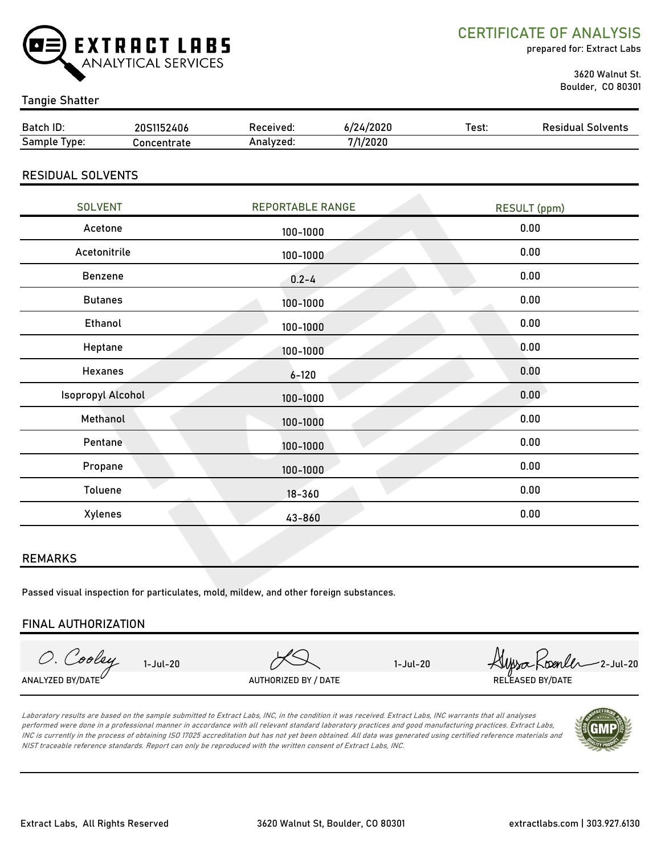

CERTIFICATE OF ANALYSIS

prepared for: Extract Labs

 3620 Walnut St. Boulder, CO 80301

### Tangie Shatter

| Batch ID:                | 20S1152406  | Received:               | 6/24/2020 | Test:               | <b>Residual Solvents</b> |  |
|--------------------------|-------------|-------------------------|-----------|---------------------|--------------------------|--|
| Sample Type:             | Concentrate | Analyzed:               | 7/1/2020  |                     |                          |  |
| <b>RESIDUAL SOLVENTS</b> |             |                         |           |                     |                          |  |
| <b>SOLVENT</b>           |             | <b>REPORTABLE RANGE</b> |           | <b>RESULT</b> (ppm) |                          |  |
| Acetone                  |             | 100-1000                |           | 0.00                |                          |  |
| Acetonitrile             |             | 100-1000                |           | 0.00                |                          |  |
| <b>Benzene</b>           |             | $0.2 - 4$               |           | 0.00                |                          |  |
| <b>Butanes</b>           |             | 100-1000                |           | 0.00                |                          |  |
| Ethanol                  |             | 100-1000                |           | 0.00                |                          |  |
| Heptane                  |             | 100-1000                |           | 0.00                |                          |  |
| <b>Hexanes</b>           |             | $6 - 120$               |           |                     | 0.00                     |  |
| <b>Isopropyl Alcohol</b> |             | 100-1000                |           |                     | 0.00                     |  |
| Methanol                 |             | 100-1000                |           |                     | 0.00                     |  |
| Pentane                  |             | 100-1000                |           |                     | 0.00                     |  |
| Propane                  |             | 100-1000                |           |                     | 0.00                     |  |
|                          |             |                         |           |                     |                          |  |

#### REMARKS

Passed visual inspection for particulates, mold, mildew, and other foreign substances.

#### FINAL AUTHORIZATION

O. Cooley ANALYZED BY/DATE $^\nu$  authorized by / Date the contract of the released by/date released by/date

Toluene 0.00

18-360

43-860

Xylenes 0.00

1-Jul-20  $75$  1-Jul-20  $74$   $\mu$ sa  $5$   $\mu$ -Jul-20

Laboratory results are based on the sample submitted to Extract Labs, INC, in the condition it was received. Extract Labs, INC warrants that all analyses performed were done in a professional manner in accordance with all relevant standard laboratory practices and good manufacturing practices. Extract Labs, INC is currently in the process of obtaining ISO 17025 accreditation but has not yet been obtained. All data was generated using certified reference materials and NIST traceable reference standards. Report can only be reproduced with the written consent of Extract Labs, INC.